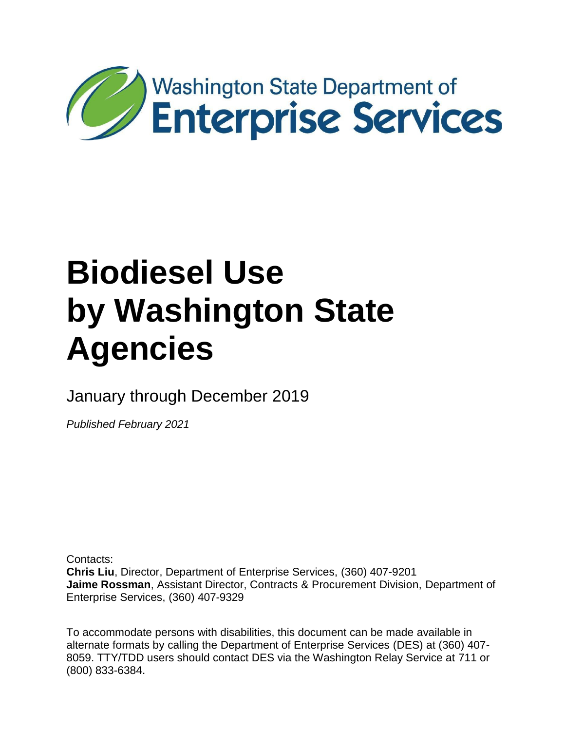

January through December 2019

*Published February 2021* 

Contacts:

 **Jaime Rossman**, Assistant Director, Contracts & Procurement Division, Department of **Chris Liu**, Director, Department of Enterprise Services, (360) 407-9201 Enterprise Services, (360) 407-9329

 To accommodate persons with disabilities, this document can be made available in alternate formats by calling the Department of Enterprise Services (DES) at (360) 407- 8059. TTY/TDD users should contact DES via the Washington Relay Service at 711 or (800) 833-6384.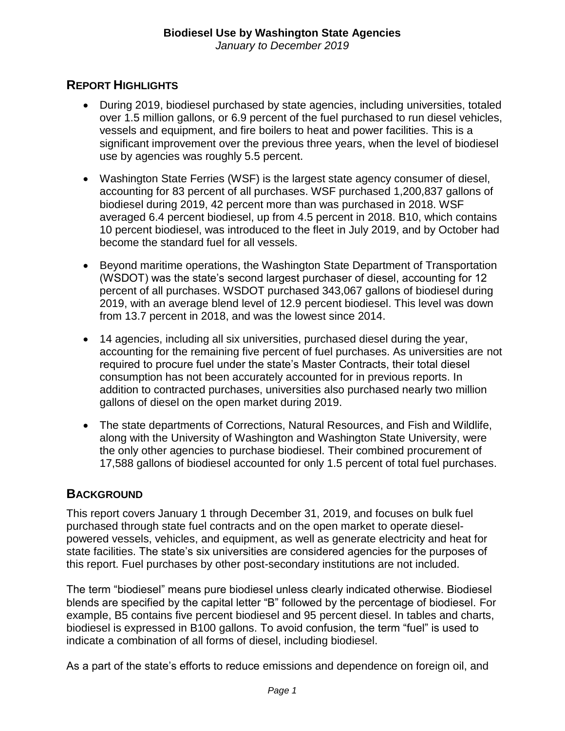*January to December 2019* 

### **REPORT HIGHLIGHTS**

- During 2019, biodiesel purchased by state agencies, including universities, totaled over 1.5 million gallons, or 6.9 percent of the fuel purchased to run diesel vehicles, vessels and equipment, and fire boilers to heat and power facilities. This is a significant improvement over the previous three years, when the level of biodiesel use by agencies was roughly 5.5 percent.
- averaged 6.4 percent biodiesel, up from 4.5 percent in 2018. B10, which contains Washington State Ferries (WSF) is the largest state agency consumer of diesel, accounting for 83 percent of all purchases. WSF purchased 1,200,837 gallons of biodiesel during 2019, 42 percent more than was purchased in 2018. WSF 10 percent biodiesel, was introduced to the fleet in July 2019, and by October had become the standard fuel for all vessels.
- (WSDOT) was the state's second largest purchaser of diesel, accounting for 12 percent of all purchases. WSDOT purchased 343,067 gallons of biodiesel during • Beyond maritime operations, the Washington State Department of Transportation 2019, with an average blend level of 12.9 percent biodiesel. This level was down from 13.7 percent in 2018, and was the lowest since 2014.
- 14 agencies, including all six universities, purchased diesel during the year, accounting for the remaining five percent of fuel purchases. As universities are not required to procure fuel under the state's Master Contracts, their total diesel consumption has not been accurately accounted for in previous reports. In addition to contracted purchases, universities also purchased nearly two million gallons of diesel on the open market during 2019.
- The state departments of Corrections, Natural Resources, and Fish and Wildlife, along with the University of Washington and Washington State University, were the only other agencies to purchase biodiesel. Their combined procurement of 17,588 gallons of biodiesel accounted for only 1.5 percent of total fuel purchases.

#### **BACKGROUND**

 purchased through state fuel contracts and on the open market to operate diesel-This report covers January 1 through December 31, 2019, and focuses on bulk fuel powered vessels, vehicles, and equipment, as well as generate electricity and heat for state facilities. The state's six universities are considered agencies for the purposes of this report. Fuel purchases by other post-secondary institutions are not included.

 indicate a combination of all forms of diesel, including biodiesel. The term "biodiesel" means pure biodiesel unless clearly indicated otherwise. Biodiesel blends are specified by the capital letter "B" followed by the percentage of biodiesel. For example, B5 contains five percent biodiesel and 95 percent diesel. In tables and charts, biodiesel is expressed in B100 gallons. To avoid confusion, the term "fuel" is used to

As a part of the state's efforts to reduce emissions and dependence on foreign oil, and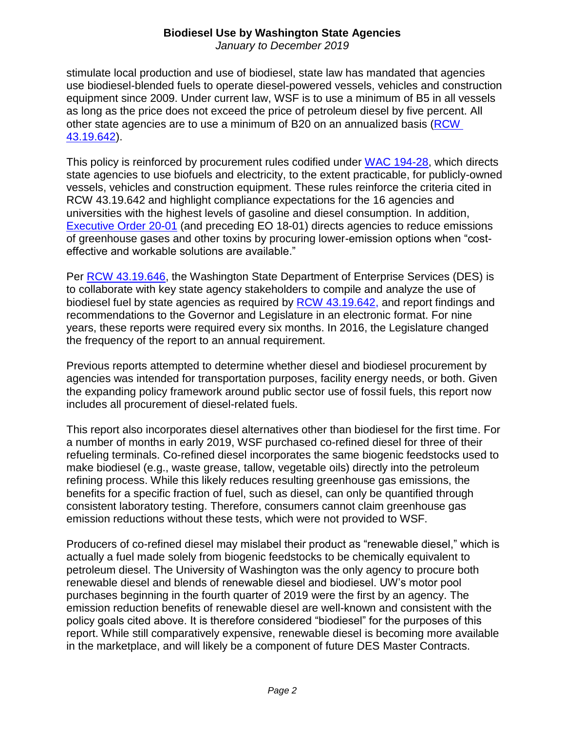*January to December 2019* 

 stimulate local production and use of biodiesel, state law has mandated that agencies equipment since 2009. Under current law, WSF is to use a minimum of B5 in all vessels other state agencies are to use a minimum of B20 on an annualized basis (RCW use biodiesel-blended fuels to operate diesel-powered vessels, vehicles and construction as long as the price does not exceed the price of petroleum diesel by five percent. All [43.19.642\)](http://app.leg.wa.gov/rcw/default.aspx?cite=43.19.642).

This policy is reinforced by procurement rules codified under [WAC 194-28,](https://app.leg.wa.gov/wac/default.aspx?cite=194-28&full=truehttp://app.leg.wa.gov/wac/default.aspx?cite=194-28&full=true) which directs state agencies to use biofuels and electricity, to the extent practicable, for publicly-owned vessels, vehicles and construction equipment. These rules reinforce the criteria cited in RCW 43.19.642 and highlight compliance expectations for the 16 agencies and universities with the highest levels of gasoline and diesel consumption. In addition, [Executive Order 20-01](https://www.governor.wa.gov/sites/default/files/exe_order/20-01%20SEEP%20Executive%20Order%20%28tmp%29.pdf) (and preceding EO 18-01) directs agencies to reduce emissions of greenhouse gases and other toxins by procuring lower-emission options when "costeffective and workable solutions are available."

Per [RCW 43.19.646,](http://app.leg.wa.gov/rcw/default.aspx?cite=43.19.646) the Washington State Department of Enterprise Services (DES) is to collaborate with key state agency stakeholders to compile and analyze the use of biodiesel fuel by state agencies as required by [RCW 43.19.642,](http://app.leg.wa.gov/rcw/default.aspx?cite=43.19.642) and report findings and recommendations to the Governor and Legislature in an electronic format. For nine years, these reports were required every six months. In 2016, the Legislature changed the frequency of the report to an annual requirement.

Previous reports attempted to determine whether diesel and biodiesel procurement by agencies was intended for transportation purposes, facility energy needs, or both. Given the expanding policy framework around public sector use of fossil fuels, this report now includes all procurement of diesel-related fuels.

This report also incorporates diesel alternatives other than biodiesel for the first time. For a number of months in early 2019, WSF purchased co-refined diesel for three of their refueling terminals. Co-refined diesel incorporates the same biogenic feedstocks used to make biodiesel (e.g., waste grease, tallow, vegetable oils) directly into the petroleum refining process. While this likely reduces resulting greenhouse gas emissions, the benefits for a specific fraction of fuel, such as diesel, can only be quantified through consistent laboratory testing. Therefore, consumers cannot claim greenhouse gas emission reductions without these tests, which were not provided to WSF.

 actually a fuel made solely from biogenic feedstocks to be chemically equivalent to in the marketplace, and will likely be a component of future DES Master Contracts. Producers of co-refined diesel may mislabel their product as "renewable diesel," which is petroleum diesel. The University of Washington was the only agency to procure both renewable diesel and blends of renewable diesel and biodiesel. UW's motor pool purchases beginning in the fourth quarter of 2019 were the first by an agency. The emission reduction benefits of renewable diesel are well-known and consistent with the policy goals cited above. It is therefore considered "biodiesel" for the purposes of this report. While still comparatively expensive, renewable diesel is becoming more available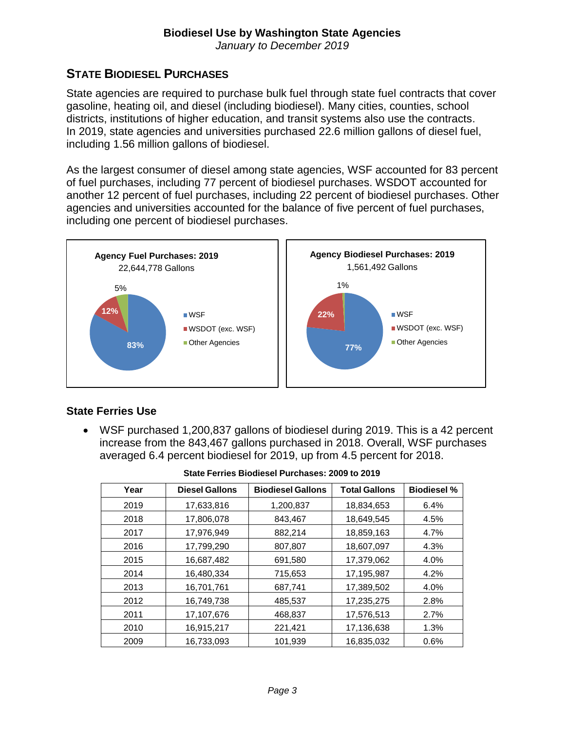*January to December 2019* 

#### **STATE BIODIESEL PURCHASES**

State agencies are required to purchase bulk fuel through state fuel contracts that cover gasoline, heating oil, and diesel (including biodiesel). Many cities, counties, school districts, institutions of higher education, and transit systems also use the contracts. In 2019, state agencies and universities purchased 22.6 million gallons of diesel fuel, including 1.56 million gallons of biodiesel.

 agencies and universities accounted for the balance of five percent of fuel purchases, As the largest consumer of diesel among state agencies, WSF accounted for 83 percent of fuel purchases, including 77 percent of biodiesel purchases. WSDOT accounted for another 12 percent of fuel purchases, including 22 percent of biodiesel purchases. Other including one percent of biodiesel purchases.



#### **State Ferries Use**

 increase from the 843,467 gallons purchased in 2018. Overall, WSF purchases WSF purchased 1,200,837 gallons of biodiesel during 2019. This is a 42 percent averaged 6.4 percent biodiesel for 2019, up from 4.5 percent for 2018.

| Year | <b>Diesel Gallons</b> | <b>Biodiesel Gallons</b> | <b>Total Gallons</b> | <b>Biodiesel %</b> |
|------|-----------------------|--------------------------|----------------------|--------------------|
| 2019 | 17,633,816            | 1,200,837                | 18,834,653           | 6.4%               |
| 2018 | 17,806,078            | 843,467                  | 18,649,545           | 4.5%               |
| 2017 | 17,976,949            | 882,214                  | 18,859,163           | 4.7%               |
| 2016 | 17,799,290            | 807,807                  | 18,607,097           | 4.3%               |
| 2015 | 16,687,482            | 691,580                  | 17,379,062           | 4.0%               |
| 2014 | 16,480,334            | 715,653                  | 17,195,987           | 4.2%               |
| 2013 | 16,701,761            | 687,741                  | 17,389,502           | 4.0%               |
| 2012 | 16,749,738            | 485,537                  | 17,235,275           | 2.8%               |
| 2011 | 17,107,676            | 468,837                  | 17,576,513           | 2.7%               |
| 2010 | 16,915,217            | 221,421                  | 17,136,638           | 1.3%               |
| 2009 | 16.733.093            | 101.939                  | 16,835,032           | 0.6%               |

| State Ferries Biodiesel Purchases: 2009 to 2019 |  |  |
|-------------------------------------------------|--|--|
|                                                 |  |  |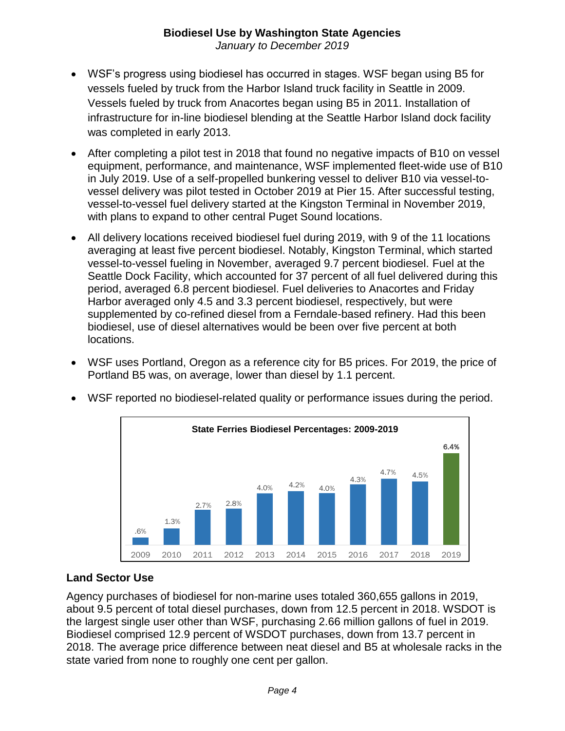*January to December 2019* 

- infrastructure for in-line biodiesel blending at the Seattle Harbor Island dock facility WSF's progress using biodiesel has occurred in stages. WSF began using B5 for vessels fueled by truck from the Harbor Island truck facility in Seattle in 2009. Vessels fueled by truck from Anacortes began using B5 in 2011. Installation of was completed in early 2013.
- After completing a pilot test in 2018 that found no negative impacts of B10 on vessel equipment, performance, and maintenance, WSF implemented fleet-wide use of B10 with plans to expand to other central Puget Sound locations. in July 2019. Use of a self-propelled bunkering vessel to deliver B10 via vessel-tovessel delivery was pilot tested in October 2019 at Pier 15. After successful testing, vessel-to-vessel fuel delivery started at the Kingston Terminal in November 2019,
- supplemented by co-refined diesel from a Ferndale-based refinery. Had this been biodiesel, use of diesel alternatives would be been over five percent at both All delivery locations received biodiesel fuel during 2019, with 9 of the 11 locations averaging at least five percent biodiesel. Notably, Kingston Terminal, which started vessel-to-vessel fueling in November, averaged 9.7 percent biodiesel. Fuel at the Seattle Dock Facility, which accounted for 37 percent of all fuel delivered during this period, averaged 6.8 percent biodiesel. Fuel deliveries to Anacortes and Friday Harbor averaged only 4.5 and 3.3 percent biodiesel, respectively, but were locations.
- WSF uses Portland, Oregon as a reference city for B5 prices. For 2019, the price of Portland B5 was, on average, lower than diesel by 1.1 percent.



WSF reported no biodiesel-related quality or performance issues during the period.

#### **Land Sector Use**

 state varied from none to roughly one cent per gallon. Agency purchases of biodiesel for non-marine uses totaled 360,655 gallons in 2019, about 9.5 percent of total diesel purchases, down from 12.5 percent in 2018. WSDOT is the largest single user other than WSF, purchasing 2.66 million gallons of fuel in 2019. Biodiesel comprised 12.9 percent of WSDOT purchases, down from 13.7 percent in 2018. The average price difference between neat diesel and B5 at wholesale racks in the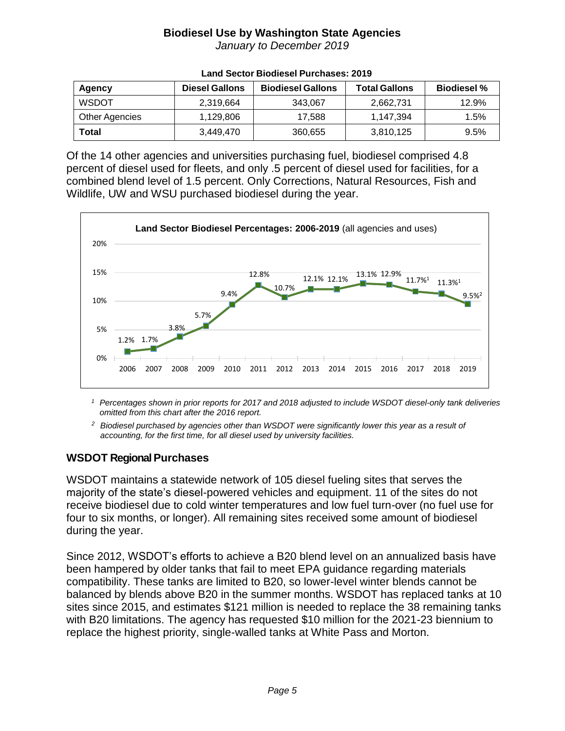*January to December 2019* 

| Agency         | <b>Diesel Gallons</b> | <b>Biodiesel Gallons</b> | <b>Total Gallons</b> | <b>Biodiesel %</b> |
|----------------|-----------------------|--------------------------|----------------------|--------------------|
| <b>WSDOT</b>   | 2,319,664             | 343,067                  | 2,662,731            | 12.9%              |
| Other Agencies | 1,129,806             | 17.588                   | 1,147,394            | 1.5%               |
| Total          | 3,449,470             | 360,655                  | 3,810,125            | 9.5%               |

#### **Land Sector Biodiesel Purchases: 2019**

 percent of diesel used for fleets, and only .5 percent of diesel used for facilities, for a combined blend level of 1.5 percent. Only Corrections, Natural Resources, Fish and Wildlife, UW and WSU purchased biodiesel during the year. Of the 14 other agencies and universities purchasing fuel, biodiesel comprised 4.8



<sup>1</sup> Percentages shown in prior reports for 2017 and 2018 adjusted to include WSDOT diesel-only tank deliveries *omitted from this chart after the 2016 report.* 

 *accounting, for the first time, for all diesel used by university facilities. 2 Biodiesel purchased by agencies other than WSDOT were significantly lower this year as a result of* 

#### **WSDOT Regional Purchases**

 receive biodiesel due to cold winter temperatures and low fuel turn-over (no fuel use for WSDOT maintains a statewide network of 105 diesel fueling sites that serves the majority of the state's diesel-powered vehicles and equipment. 11 of the sites do not four to six months, or longer). All remaining sites received some amount of biodiesel during the year.

 compatibility. These tanks are limited to B20, so lower-level winter blends cannot be sites since 2015, and estimates \$121 million is needed to replace the 38 remaining tanks with B20 limitations. The agency has requested \$10 million for the 2021-23 biennium to Since 2012, WSDOT's efforts to achieve a B20 blend level on an annualized basis have been hampered by older tanks that fail to meet EPA guidance regarding materials balanced by blends above B20 in the summer months. WSDOT has replaced tanks at 10 replace the highest priority, single-walled tanks at White Pass and Morton.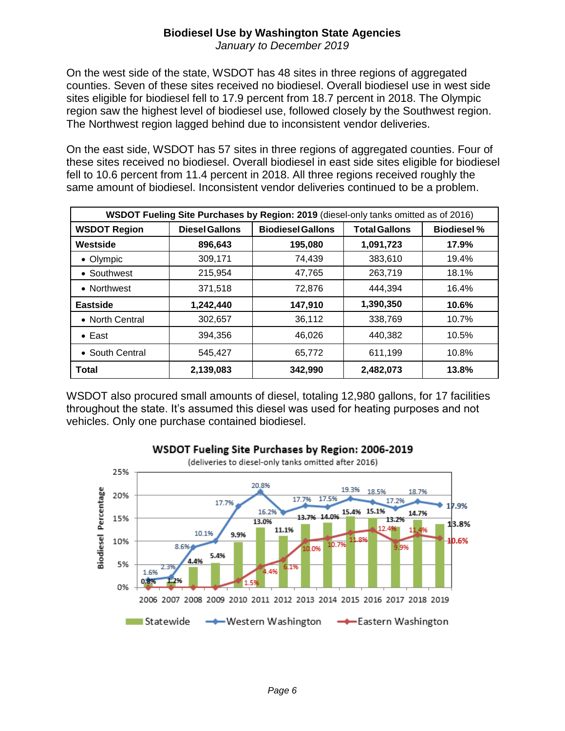*January to December 2019* 

 counties. Seven of these sites received no biodiesel. Overall biodiesel use in west side On the west side of the state, WSDOT has 48 sites in three regions of aggregated sites eligible for biodiesel fell to 17.9 percent from 18.7 percent in 2018. The Olympic region saw the highest level of biodiesel use, followed closely by the Southwest region. The Northwest region lagged behind due to inconsistent vendor deliveries.

 On the east side, WSDOT has 57 sites in three regions of aggregated counties. Four of these sites received no biodiesel. Overall biodiesel in east side sites eligible for biodiesel fell to 10.6 percent from 11.4 percent in 2018. All three regions received roughly the same amount of biodiesel. Inconsistent vendor deliveries continued to be a problem.

| WSDOT Fueling Site Purchases by Region: 2019 (diesel-only tanks omitted as of 2016) |                       |                          |                      |                    |
|-------------------------------------------------------------------------------------|-----------------------|--------------------------|----------------------|--------------------|
| <b>WSDOT Region</b>                                                                 | <b>Diesel Gallons</b> | <b>Biodiesel Gallons</b> | <b>Total Gallons</b> | <b>Biodiesel %</b> |
| Westside                                                                            | 896,643               | 195,080                  | 1,091,723            | 17.9%              |
| • Olympic                                                                           | 309,171               | 74,439                   | 383,610              | 19.4%              |
| • Southwest                                                                         | 215,954               | 47,765                   | 263,719              | 18.1%              |
| • Northwest                                                                         | 371,518               | 72,876                   | 444.394              | 16.4%              |
| <b>Eastside</b>                                                                     | 1,242,440             | 147,910                  | 1,390,350            | 10.6%              |
| • North Central                                                                     | 302,657               | 36,112                   | 338,769              | 10.7%              |
| $\bullet$ East                                                                      | 394,356               | 46,026                   | 440,382              | 10.5%              |
| • South Central                                                                     | 545.427               | 65,772                   | 611,199              | 10.8%              |
| <b>Total</b>                                                                        | 2,139,083             | 342,990                  | 2,482,073            | 13.8%              |

WSDOT also procured small amounts of diesel, totaling 12,980 gallons, for 17 facilities throughout the state. It's assumed this diesel was used for heating purposes and not vehicles. Only one purchase contained biodiesel.



#### **WSDOT Fueling Site Purchases by Region: 2006-2019**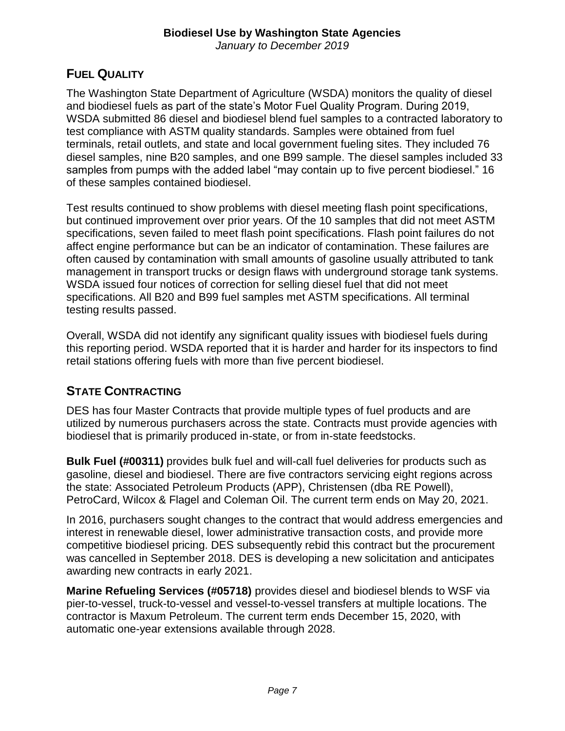*January to December 2019* 

#### **FUEL QUALITY**

 test compliance with ASTM quality standards. Samples were obtained from fuel diesel samples, nine B20 samples, and one B99 sample. The diesel samples included 33 The Washington State Department of Agriculture (WSDA) monitors the quality of diesel and biodiesel fuels as part of the state's Motor Fuel Quality Program. During 2019, WSDA submitted 86 diesel and biodiesel blend fuel samples to a contracted laboratory to terminals, retail outlets, and state and local government fueling sites. They included 76 samples from pumps with the added label "may contain up to five percent biodiesel." 16 of these samples contained biodiesel.

 Test results continued to show problems with diesel meeting flash point specifications, specifications, seven failed to meet flash point specifications. Flash point failures do not specifications. All B20 and B99 fuel samples met ASTM specifications. All terminal but continued improvement over prior years. Of the 10 samples that did not meet ASTM affect engine performance but can be an indicator of contamination. These failures are often caused by contamination with small amounts of gasoline usually attributed to tank management in transport trucks or design flaws with underground storage tank systems. WSDA issued four notices of correction for selling diesel fuel that did not meet testing results passed.

 this reporting period. WSDA reported that it is harder and harder for its inspectors to find Overall, WSDA did not identify any significant quality issues with biodiesel fuels during retail stations offering fuels with more than five percent biodiesel.

# **STATE CONTRACTING**

DES has four Master Contracts that provide multiple types of fuel products and are utilized by numerous purchasers across the state. Contracts must provide agencies with biodiesel that is primarily produced in-state, or from in-state feedstocks.

**Bulk Fuel (#00311)** provides bulk fuel and will-call fuel deliveries for products such as gasoline, diesel and biodiesel. There are five contractors servicing eight regions across the state: Associated Petroleum Products (APP), Christensen (dba RE Powell), PetroCard, Wilcox & Flagel and Coleman Oil. The current term ends on May 20, 2021.

 interest in renewable diesel, lower administrative transaction costs, and provide more In 2016, purchasers sought changes to the contract that would address emergencies and competitive biodiesel pricing. DES subsequently rebid this contract but the procurement was cancelled in September 2018. DES is developing a new solicitation and anticipates awarding new contracts in early 2021.

**Marine Refueling Services (#05718)** provides diesel and biodiesel blends to WSF via pier-to-vessel, truck-to-vessel and vessel-to-vessel transfers at multiple locations. The contractor is Maxum Petroleum. The current term ends December 15, 2020, with automatic one-year extensions available through 2028.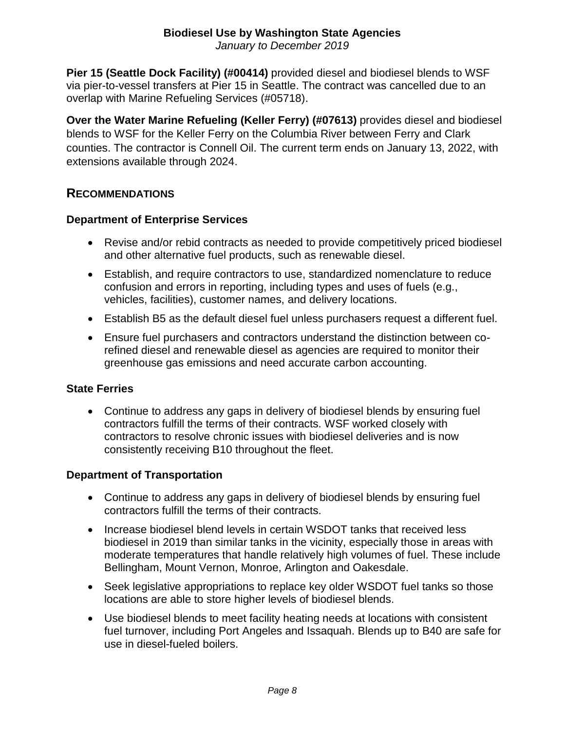*January to December 2019* 

 via pier-to-vessel transfers at Pier 15 in Seattle. The contract was cancelled due to an **Pier 15 (Seattle Dock Facility) (#00414)** provided diesel and biodiesel blends to WSF overlap with Marine Refueling Services (#05718).

**Over the Water Marine Refueling (Keller Ferry) (#07613)** provides diesel and biodiesel blends to WSF for the Keller Ferry on the Columbia River between Ferry and Clark counties. The contractor is Connell Oil. The current term ends on January 13, 2022, with extensions available through 2024.

#### **RECOMMENDATIONS**

#### **Department of Enterprise Services**

- Revise and/or rebid contracts as needed to provide competitively priced biodiesel and other alternative fuel products, such as renewable diesel.
- confusion and errors in reporting, including types and uses of fuels (e.g., Establish, and require contractors to use, standardized nomenclature to reduce vehicles, facilities), customer names, and delivery locations.
- Establish B5 as the default diesel fuel unless purchasers request a different fuel.
- Ensure fuel purchasers and contractors understand the distinction between corefined diesel and renewable diesel as agencies are required to monitor their greenhouse gas emissions and need accurate carbon accounting.

#### **State Ferries**

 Continue to address any gaps in delivery of biodiesel blends by ensuring fuel contractors fulfill the terms of their contracts. WSF worked closely with contractors to resolve chronic issues with biodiesel deliveries and is now consistently receiving B10 throughout the fleet.

#### **Department of Transportation**

- Continue to address any gaps in delivery of biodiesel blends by ensuring fuel contractors fulfill the terms of their contracts.
- Increase biodiesel blend levels in certain WSDOT tanks that received less biodiesel in 2019 than similar tanks in the vicinity, especially those in areas with moderate temperatures that handle relatively high volumes of fuel. These include Bellingham, Mount Vernon, Monroe, Arlington and Oakesdale.
- Seek legislative appropriations to replace key older WSDOT fuel tanks so those locations are able to store higher levels of biodiesel blends.
- Use biodiesel blends to meet facility heating needs at locations with consistent fuel turnover, including Port Angeles and Issaquah. Blends up to B40 are safe for use in diesel-fueled boilers.